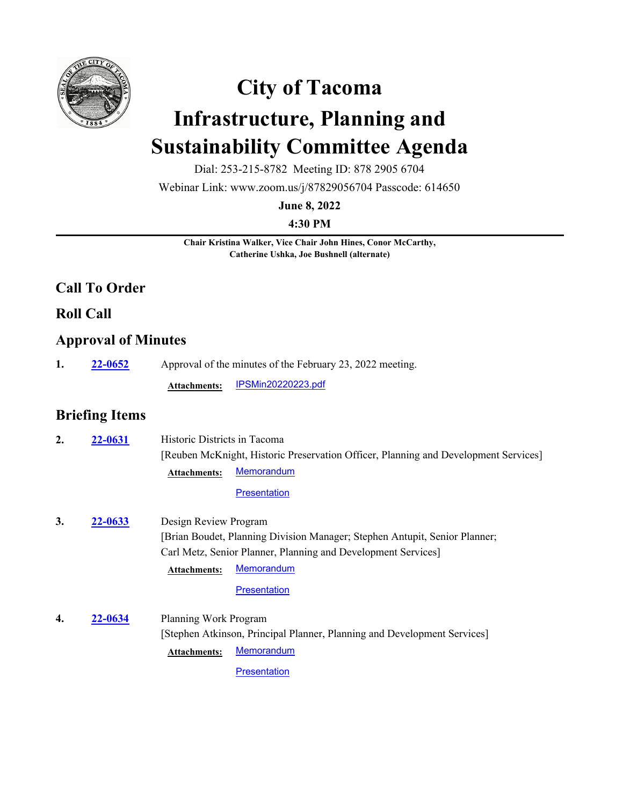

# **City of Tacoma Infrastructure, Planning and Sustainability Committee Agenda**

Dial: 253-215-8782 Meeting ID: 878 2905 6704

Webinar Link: www.zoom.us/j/87829056704 Passcode: 614650

**June 8, 2022**

**4:30 PM**

**Chair Kristina Walker, Vice Chair John Hines, Conor McCarthy, Catherine Ushka, Joe Bushnell (alternate)**

## **Call To Order**

**Roll Call**

#### **Approval of Minutes**

**1. 22-0652** Approval of the minutes of the February 23, 2022 meeting.

**Attachments:** [IPSMin20220223.pdf](http://cityoftacoma.legistar.com/gateway.aspx?M=F&ID=825d1878-65e0-4232-b4cf-0999f61e7e3b.pdf)

## **Briefing Items**

| 2. | 22-0631 | Historic Districts in Tacoma<br><b>Memorandum</b><br><b>Attachments:</b> | [Reuben McKnight, Historic Preservation Officer, Planning and Development Services] |
|----|---------|--------------------------------------------------------------------------|-------------------------------------------------------------------------------------|
|    |         | <b>Presentation</b>                                                      |                                                                                     |
| 3. | 22-0633 | Design Review Program                                                    |                                                                                     |
|    |         |                                                                          | [Brian Boudet, Planning Division Manager; Stephen Antupit, Senior Planner;          |
|    |         | Carl Metz, Senior Planner, Planning and Development Services]            |                                                                                     |
|    |         | <b>Memorandum</b><br><b>Attachments:</b>                                 |                                                                                     |
|    |         | <b>Presentation</b>                                                      |                                                                                     |
| 4. | 22-0634 | Planning Work Program                                                    |                                                                                     |
|    |         | [Stephen Atkinson, Principal Planner, Planning and Development Services] |                                                                                     |
|    |         | <b>Memorandum</b><br><b>Attachments:</b>                                 |                                                                                     |
|    |         | Presentation                                                             |                                                                                     |